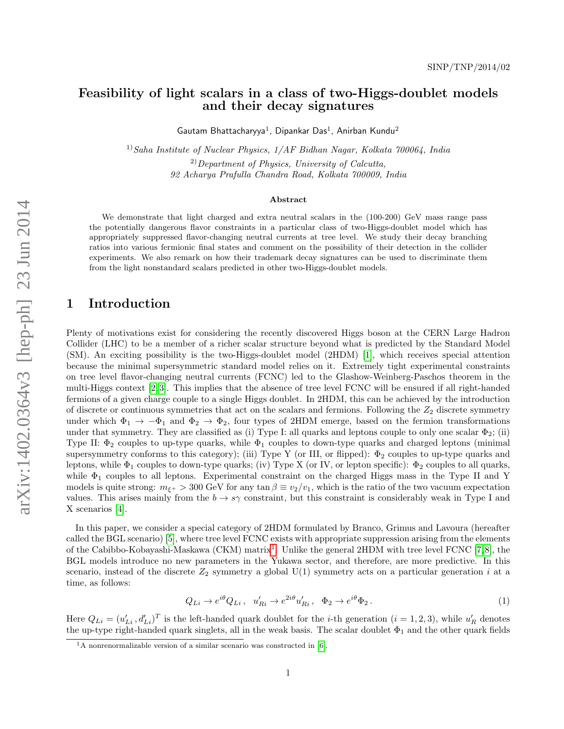arXiv:1402.0364v3 [hep-ph] 23 Jun 2014 arXiv:1402.0364v3 [hep-ph] 23 Jun 2014

## Feasibility of light scalars in a class of two-Higgs-doublet models and their decay signatures

Gautam Bhattacharyya<sup>1</sup>, Dipankar Das<sup>1</sup>, Anirban Kundu<sup>2</sup>

<sup>1)</sup>Saha Institute of Nuclear Physics,  $1/AF$  Bidhan Nagar, Kolkata 700064, India  $^{2)}$ Department of Physics, University of Calcutta, 92 Acharya Prafulla Chandra Road, Kolkata 700009, India

#### Abstract

We demonstrate that light charged and extra neutral scalars in the (100-200) GeV mass range pass the potentially dangerous flavor constraints in a particular class of two-Higgs-doublet model which has appropriately suppressed flavor-changing neutral currents at tree level. We study their decay branching ratios into various fermionic final states and comment on the possibility of their detection in the collider experiments. We also remark on how their trademark decay signatures can be used to discriminate them from the light nonstandard scalars predicted in other two-Higgs-doublet models.

## 1 Introduction

Plenty of motivations exist for considering the recently discovered Higgs boson at the CERN Large Hadron Collider (LHC) to be a member of a richer scalar structure beyond what is predicted by the Standard Model (SM). An exciting possibility is the two-Higgs-doublet model (2HDM) [\[1\]](#page-11-0), which receives special attention because the minimal supersymmetric standard model relies on it. Extremely tight experimental constraints on tree level flavor-changing neutral currents (FCNC) led to the Glashow-Weinberg-Paschos theorem in the multi-Higgs context [\[2,](#page-11-1) [3\]](#page-11-2). This implies that the absence of tree level FCNC will be ensured if all right-handed fermions of a given charge couple to a single Higgs doublet. In 2HDM, this can be achieved by the introduction of discrete or continuous symmetries that act on the scalars and fermions. Following the  $Z_2$  discrete symmetry under which  $\Phi_1 \to -\Phi_1$  and  $\Phi_2 \to \Phi_2$ , four types of 2HDM emerge, based on the fermion transformations under that symmetry. They are classified as (i) Type I: all quarks and leptons couple to only one scalar  $\Phi_2$ ; (ii) Type II:  $\Phi_2$  couples to up-type quarks, while  $\Phi_1$  couples to down-type quarks and charged leptons (minimal supersymmetry conforms to this category); (iii) Type Y (or III, or flipped):  $\Phi_2$  couples to up-type quarks and leptons, while  $\Phi_1$  couples to down-type quarks; (iv) Type X (or IV, or lepton specific):  $\Phi_2$  couples to all quarks, while  $\Phi_1$  couples to all leptons. Experimental constraint on the charged Higgs mass in the Type II and Y models is quite strong:  $m_{\xi+} > 300$  GeV for any tan  $\beta \equiv v_2/v_1$ , which is the ratio of the two vacuum expectation values. This arises mainly from the  $b \to s\gamma$  constraint, but this constraint is considerably weak in Type I and X scenarios [\[4\]](#page-11-3).

In this paper, we consider a special category of 2HDM formulated by Branco, Grimus and Lavoura (hereafter called the BGL scenario) [\[5\]](#page-11-4), where tree level FCNC exists with appropriate suppression arising from the elements of the Cabibbo-Kobayashi-Maskawa (CKM) matrix<sup>[1](#page-0-0)</sup>. Unlike the general 2HDM with tree level FCNC [\[7,](#page-11-5)[8\]](#page-11-6), the BGL models introduce no new parameters in the Yukawa sector, and therefore, are more predictive. In this scenario, instead of the discrete  $Z_2$  symmetry a global  $U(1)$  symmetry acts on a particular generation i at a time, as follows:

<span id="page-0-1"></span>
$$
Q_{Li} \to e^{i\theta} Q_{Li} \,, \quad u'_{Ri} \to e^{2i\theta} u'_{Ri} \,, \quad \Phi_2 \to e^{i\theta} \Phi_2 \,. \tag{1}
$$

Here  $Q_{Li} = (u'_{Li}, d'_{Li})^T$  is the left-handed quark doublet for the *i*-th generation  $(i = 1, 2, 3)$ , while  $u'_R$  denotes the up-type right-handed quark singlets, all in the weak basis. The scalar doublet  $\Phi_1$  and the other quark fields

<span id="page-0-0"></span> $1_A$  nonrenormalizable version of a similar scenario was constructed in [\[6\]](#page-11-7).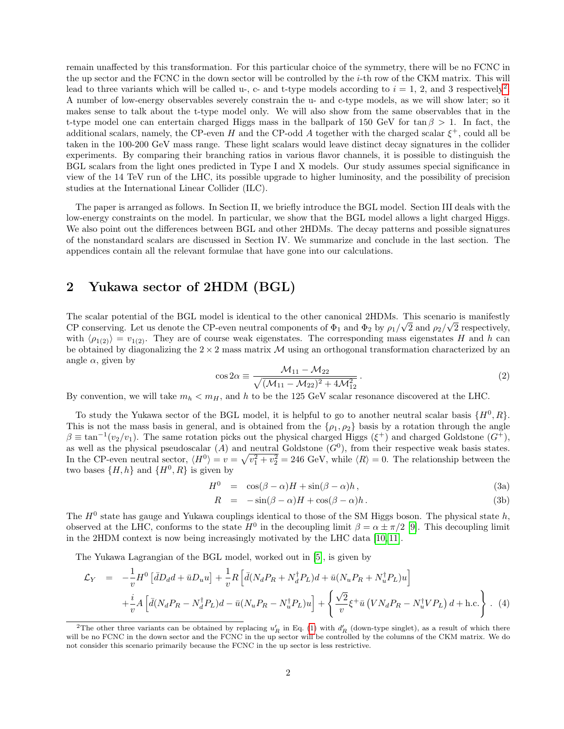remain unaffected by this transformation. For this particular choice of the symmetry, there will be no FCNC in the up sector and the FCNC in the down sector will be controlled by the i-th row of the CKM matrix. This will lead to three variants which will be called u-, c- and t-type models according to  $i = 1, 2$  $i = 1, 2$ , and 3 respectively<sup>2</sup>. A number of low-energy observables severely constrain the u- and c-type models, as we will show later; so it makes sense to talk about the t-type model only. We will also show from the same observables that in the t-type model one can entertain charged Higgs mass in the ballpark of 150 GeV for  $\tan \beta > 1$ . In fact, the additional scalars, namely, the CP-even H and the CP-odd A together with the charged scalar  $\xi^+$ , could all be taken in the 100-200 GeV mass range. These light scalars would leave distinct decay signatures in the collider experiments. By comparing their branching ratios in various flavor channels, it is possible to distinguish the BGL scalars from the light ones predicted in Type I and X models. Our study assumes special significance in view of the 14 TeV run of the LHC, its possible upgrade to higher luminosity, and the possibility of precision studies at the International Linear Collider (ILC).

The paper is arranged as follows. In Section II, we briefly introduce the BGL model. Section III deals with the low-energy constraints on the model. In particular, we show that the BGL model allows a light charged Higgs. We also point out the differences between BGL and other 2HDMs. The decay patterns and possible signatures of the nonstandard scalars are discussed in Section IV. We summarize and conclude in the last section. The appendices contain all the relevant formulae that have gone into our calculations.

## 2 Yukawa sector of 2HDM (BGL)

The scalar potential of the BGL model is identical to the other canonical 2HDMs. This scenario is manifestly CP conserving. Let us denote the CP-even neutral components of  $\Phi_1$  and  $\Phi_2$  by  $\rho_1/\sqrt{2}$  and  $\rho_2/\sqrt{2}$  respectively, with  $\langle \rho_{1(2)} \rangle = v_{1(2)}$ . They are of course weak eigenstates. The corresponding mass eigenstates H and h can be obtained by diagonalizing the  $2 \times 2$  mass matrix M using an orthogonal transformation characterized by an angle  $\alpha$ , given by

$$
\cos 2\alpha \equiv \frac{\mathcal{M}_{11} - \mathcal{M}_{22}}{\sqrt{(\mathcal{M}_{11} - \mathcal{M}_{22})^2 + 4\mathcal{M}_{12}^2}}.
$$
\n(2)

By convention, we will take  $m_h < m_H$ , and h to be the 125 GeV scalar resonance discovered at the LHC.

To study the Yukawa sector of the BGL model, it is helpful to go to another neutral scalar basis  $\{H^0, R\}$ . This is not the mass basis in general, and is obtained from the  $\{\rho_1, \rho_2\}$  basis by a rotation through the angle  $\beta \equiv \tan^{-1}(v_2/v_1)$ . The same rotation picks out the physical charged Higgs ( $\xi^+$ ) and charged Goldstone ( $G^+$ ), as well as the physical pseudoscalar  $(A)$  and neutral Goldstone  $(G<sup>0</sup>)$ , from their respective weak basis states. In the CP-even neutral sector,  $\langle H^0 \rangle = v = \sqrt{v_1^2 + v_2^2} = 246$  GeV, while  $\langle R \rangle = 0$ . The relationship between the two bases  $\{H, h\}$  and  $\{H^0, R\}$  is given by

$$
H^0 = \cos(\beta - \alpha)H + \sin(\beta - \alpha)h, \qquad (3a)
$$

$$
R = -\sin(\beta - \alpha)H + \cos(\beta - \alpha)h. \tag{3b}
$$

The  $H^0$  state has gauge and Yukawa couplings identical to those of the SM Higgs boson. The physical state  $h$ , observed at the LHC, conforms to the state  $H^0$  in the decoupling limit  $\beta = \alpha \pm \pi/2$  [\[9\]](#page-11-8). This decoupling limit in the 2HDM context is now being increasingly motivated by the LHC data [\[10,](#page-12-0) [11\]](#page-12-1).

The Yukawa Lagrangian of the BGL model, worked out in [\[5\]](#page-11-4), is given by

<span id="page-1-1"></span>
$$
\mathcal{L}_Y = -\frac{1}{v} H^0 \left[ \bar{d}D_d d + \bar{u}D_u u \right] + \frac{1}{v} R \left[ \bar{d} (N_d P_R + N_d^\dagger P_L) d + \bar{u} (N_u P_R + N_u^\dagger P_L) u \right] \n+ \frac{i}{v} A \left[ \bar{d} (N_d P_R - N_d^\dagger P_L) d - \bar{u} (N_u P_R - N_u^\dagger P_L) u \right] + \left\{ \frac{\sqrt{2}}{v} \xi^+ \bar{u} \left( V N_d P_R - N_u^\dagger V P_L \right) d + \text{h.c.} \right\} . \tag{4}
$$

<span id="page-1-0"></span><sup>&</sup>lt;sup>2</sup>The other three variants can be obtained by replacing  $u'_R$  in Eq. [\(1\)](#page-0-1) with  $d'_R$  (down-type singlet), as a result of which there will be no FCNC in the down sector and the FCNC in the up sector will be controlled by the columns of the CKM matrix. We do not consider this scenario primarily because the FCNC in the up sector is less restrictive.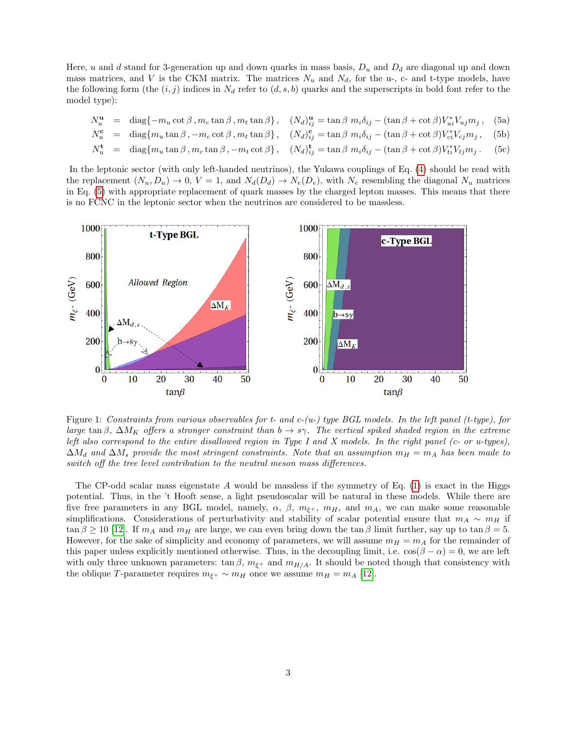Here, u and d stand for 3-generation up and down quarks in mass basis,  $D_u$  and  $D_d$  are diagonal up and down mass matrices, and V is the CKM matrix. The matrices  $N_u$  and  $N_d$ , for the u-, c- and t-type models, have the following form (the  $(i, j)$  indices in  $N_d$  refer to  $(d, s, b)$  quarks and the superscripts in bold font refer to the model type):

$$
N_u^{\mathbf{u}} = \text{diag}\{-m_u \cot \beta, m_c \tan \beta, m_t \tan \beta\}, \quad (N_d)_{ij}^{\mathbf{u}} = \tan \beta \ m_i \delta_{ij} - (\tan \beta + \cot \beta) V_{ui}^* V_{uj} m_j, \quad (5a)
$$

<span id="page-2-0"></span> $N_u^{\rm c}$  $\mathbf{u}_u^{\mathbf{c}} = \text{diag}\{m_u \tan \beta, -m_c \cot \beta, m_t \tan \beta\}, \quad (N_d)_{ij}^{\mathbf{c}} = \tan \beta \ m_i \delta_{ij} - (\tan \beta + \cot \beta)V_{ci}^* V_{cj} m_j, \quad (5b)$ 

$$
N_u^{\mathbf{t}} = \text{diag}\{m_u \tan \beta, m_c \tan \beta, -m_t \cot \beta\}, \quad (N_d)_{ij}^{\mathbf{t}} = \tan \beta \ m_i \delta_{ij} - (\tan \beta + \cot \beta)V_{ti}^* V_{tj} m_j. \quad (5c)
$$

In the leptonic sector (with only left-handed neutrinos), the Yukawa couplings of Eq. [\(4\)](#page-1-1) should be read with the replacement  $(N_u, D_u) \to 0$ ,  $V = 1$ , and  $N_d(D_d) \to N_e(D_e)$ , with  $N_e$  resembling the diagonal  $N_u$  matrices in Eq. [\(5\)](#page-2-0) with appropriate replacement of quark masses by the charged lepton masses. This means that there is no FCNC in the leptonic sector when the neutrinos are considered to be massless.



<span id="page-2-1"></span>Figure 1: Constraints from various observables for t- and  $c$ -(u-) type BGL models. In the left panel (t-type), for large tan β,  $\Delta M_K$  offers a stronger constraint than  $b \to s\gamma$ . The vertical spiked shaded region in the extreme left also correspond to the entire disallowed region in Type I and X models. In the right panel (c- or u-types),  $\Delta M_d$  and  $\Delta M_s$  provide the most stringent constraints. Note that an assumption  $m_H = m_A$  has been made to switch off the tree level contribution to the neutral meson mass differences.

The CP-odd scalar mass eigenstate  $A$  would be massless if the symmetry of Eq. [\(1\)](#page-0-1) is exact in the Higgs potential. Thus, in the 't Hooft sense, a light pseudoscalar will be natural in these models. While there are five free parameters in any BGL model, namely,  $\alpha$ ,  $\beta$ ,  $m_{\xi+}$ ,  $m_H$ , and  $m_A$ , we can make some reasonable simplifications. Considerations of perturbativity and stability of scalar potential ensure that  $m_A \sim m_H$  if  $\tan \beta \ge 10$  [\[12\]](#page-12-2). If  $m_A$  and  $m_H$  are large, we can even bring down the tan  $\beta$  limit further, say up to tan  $\beta = 5$ . However, for the sake of simplicity and economy of parameters, we will assume  $m_H = m_A$  for the remainder of this paper unless explicitly mentioned otherwise. Thus, in the decoupling limit, i.e.  $\cos(\beta - \alpha) = 0$ , we are left with only three unknown parameters:  $\tan \beta$ ,  $m_{\xi^+}$  and  $m_{H/A}$ . It should be noted though that consistency with the oblique T-parameter requires  $m_{\xi^+} \sim m_H$  once we assume  $m_H = m_A$  [\[12\]](#page-12-2).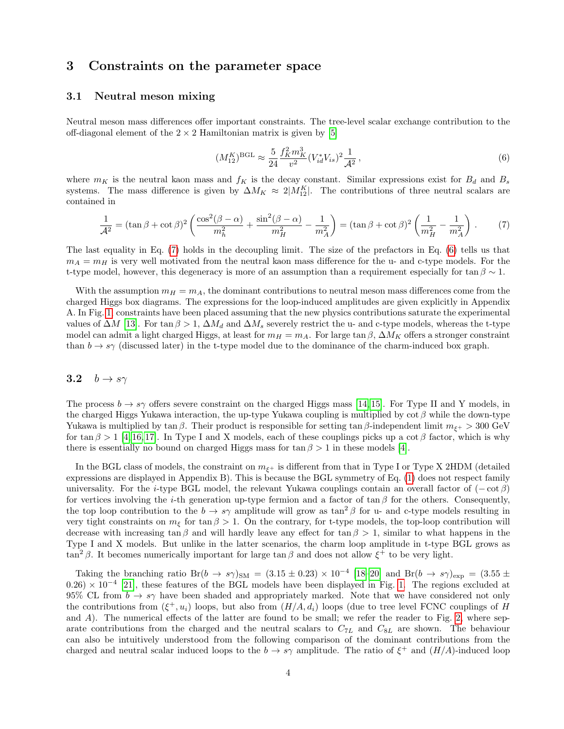### 3 Constraints on the parameter space

#### 3.1 Neutral meson mixing

Neutral meson mass differences offer important constraints. The tree-level scalar exchange contribution to the off-diagonal element of the  $2 \times 2$  Hamiltonian matrix is given by [\[5\]](#page-11-4)

<span id="page-3-1"></span>
$$
(M_{12}^K)^{\text{BGL}} \approx \frac{5}{24} \frac{f_K^2 m_K^3}{v^2} (V_{id}^* V_{is})^2 \frac{1}{\mathcal{A}^2},\tag{6}
$$

where  $m_K$  is the neutral kaon mass and  $f_K$  is the decay constant. Similar expressions exist for  $B_d$  and  $B_s$ systems. The mass difference is given by  $\Delta M_K \approx 2|M_{12}^K|$ . The contributions of three neutral scalars are contained in

<span id="page-3-0"></span>
$$
\frac{1}{\mathcal{A}^2} = (\tan \beta + \cot \beta)^2 \left( \frac{\cos^2(\beta - \alpha)}{m_h^2} + \frac{\sin^2(\beta - \alpha)}{m_H^2} - \frac{1}{m_A^2} \right) = (\tan \beta + \cot \beta)^2 \left( \frac{1}{m_H^2} - \frac{1}{m_A^2} \right). \tag{7}
$$

The last equality in Eq. [\(7\)](#page-3-0) holds in the decoupling limit. The size of the prefactors in Eq. [\(6\)](#page-3-1) tells us that  $m_A = m_H$  is very well motivated from the neutral kaon mass difference for the u- and c-type models. For the t-type model, however, this degeneracy is more of an assumption than a requirement especially for tan  $\beta \sim 1$ .

With the assumption  $m_H = m_A$ , the dominant contributions to neutral meson mass differences come from the charged Higgs box diagrams. The expressions for the loop-induced amplitudes are given explicitly in Appendix A. In Fig. [1,](#page-2-1) constraints have been placed assuming that the new physics contributions saturate the experimental values of  $\Delta M$  [\[13\]](#page-12-3). For  $\tan \beta > 1$ ,  $\Delta M_d$  and  $\Delta M_s$  severely restrict the u- and c-type models, whereas the t-type model can admit a light charged Higgs, at least for  $m_H = m_A$ . For large tan  $\beta$ ,  $\Delta M_K$  offers a stronger constraint than  $b \to s\gamma$  (discussed later) in the t-type model due to the dominance of the charm-induced box graph.

#### 3.2  $b \rightarrow s\gamma$

The process  $b \to s\gamma$  offers severe constraint on the charged Higgs mass [\[14,](#page-12-4) [15\]](#page-12-5). For Type II and Y models, in the charged Higgs Yukawa interaction, the up-type Yukawa coupling is multiplied by  $\cot \beta$  while the down-type Yukawa is multiplied by tan β. Their product is responsible for setting tan β-independent limit  $m_{\xi+} > 300 \text{ GeV}$ for tan  $\beta > 1$  [\[4,](#page-11-3) [16,](#page-12-6) [17\]](#page-12-7). In Type I and X models, each of these couplings picks up a cot  $\beta$  factor, which is why there is essentially no bound on charged Higgs mass for  $\tan \beta > 1$  in these models [\[4\]](#page-11-3).

In the BGL class of models, the constraint on  $m_{\xi+}$  is different from that in Type I or Type X 2HDM (detailed expressions are displayed in Appendix B). This is because the BGL symmetry of Eq. [\(1\)](#page-0-1) does not respect family universality. For the i-type BGL model, the relevant Yukawa couplings contain an overall factor of  $(-\cot \beta)$ for vertices involving the *i*-th generation up-type fermion and a factor of tan  $\beta$  for the others. Consequently, the top loop contribution to the  $b \to s\gamma$  amplitude will grow as tan<sup>2</sup> β for u- and c-type models resulting in very tight constraints on  $m_{\xi}$  for tan  $\beta > 1$ . On the contrary, for t-type models, the top-loop contribution will decrease with increasing tan β and will hardly leave any effect for tan  $\beta > 1$ , similar to what happens in the Type I and X models. But unlike in the latter scenarios, the charm loop amplitude in t-type BGL grows as  $\tan^2 \beta$ . It becomes numerically important for large  $\tan \beta$  and does not allow  $\xi^+$  to be very light.

Taking the branching ratio Br(b  $\rightarrow s\gamma$ )<sub>SM</sub> = (3.15 ± 0.23) × 10<sup>-4</sup> [18-[20\]](#page-12-9) and Br(b  $\rightarrow s\gamma$ )<sub>exp</sub> = (3.55 ±  $(0.26) \times 10^{-4}$  [\[21\]](#page-12-10), these features of the BGL models have been displayed in Fig. [1.](#page-2-1) The regions excluded at 95% CL from  $b \to s\gamma$  have been shaded and appropriately marked. Note that we have considered not only the contributions from  $(\xi^+, u_i)$  loops, but also from  $(H/A, d_i)$  loops (due to tree level FCNC couplings of H and A). The numerical effects of the latter are found to be small; we refer the reader to Fig. [2,](#page-4-0) where separate contributions from the charged and the neutral scalars to  $C_{7L}$  and  $C_{8L}$  are shown. The behaviour can also be intuitively understood from the following comparison of the dominant contributions from the charged and neutral scalar induced loops to the  $b \to s\gamma$  amplitude. The ratio of  $\xi^+$  and  $(H/A)$ -induced loop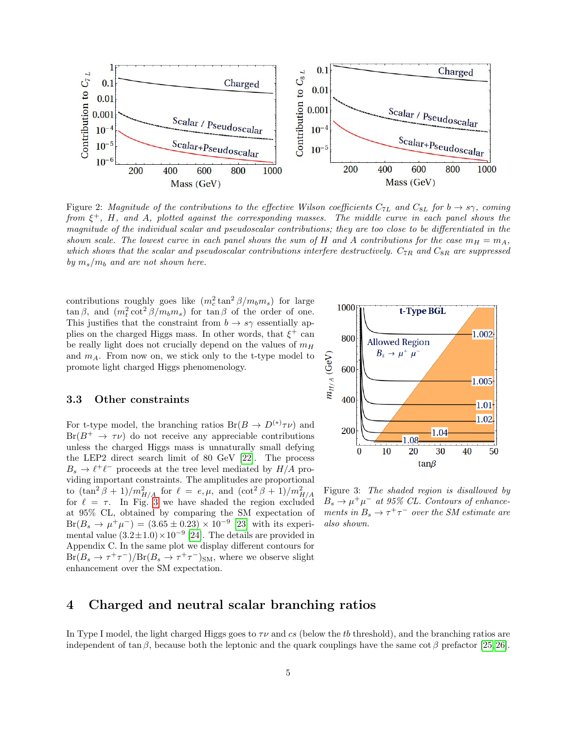

<span id="page-4-0"></span>Figure 2: Magnitude of the contributions to the effective Wilson coefficients  $C_{7L}$  and  $C_{8L}$  for  $b \to s\gamma$ , coming from  $\xi^+$ , H, and A, plotted against the corresponding masses. The middle curve in each panel shows the magnitude of the individual scalar and pseudoscalar contributions; they are too close to be differentiated in the shown scale. The lowest curve in each panel shows the sum of H and A contributions for the case  $m_H = m_A$ , which shows that the scalar and pseudoscalar contributions interfere destructively.  $C_{7R}$  and  $C_{8R}$  are suppressed by  $m_s/m_b$  and are not shown here.

contributions roughly goes like  $(m_c^2 \tan^2 \beta/m_b m_s)$  for large  $\tan \beta$ , and  $(m_t^2 \cot^2 \beta/m_b m_s)$  for  $\tan \beta$  of the order of one. This justifies that the constraint from  $b \to s\gamma$  essentially applies on the charged Higgs mass. In other words, that  $\xi^+$  can be really light does not crucially depend on the values of  $m_H$ and  $m_A$ . From now on, we stick only to the t-type model to promote light charged Higgs phenomenology.

#### 3.3 Other constraints

For t-type model, the branching ratios  $Br(B \to D^{(*)}\tau\nu)$  and  $Br(B^+\to\tau\nu)$  do not receive any appreciable contributions unless the charged Higgs mass is unnaturally small defying the LEP2 direct search limit of 80 GeV [\[22\]](#page-12-11). The process  $B_s \to \ell^+ \ell^-$  proceeds at the tree level mediated by  $H/A$  providing important constraints. The amplitudes are proportional to  $(\tan^2 \beta + 1)/m_{H/A}^2$  for  $\ell = e, \mu$ , and  $(\cot^2 \beta + 1)/m_{H/A}^2$ for  $\ell = \tau$ . In Fig. [3](#page-4-1) we have shaded the region excluded at 95% CL, obtained by comparing the SM expectation of  $Br(B_s \to \mu^+ \mu^-) = (3.65 \pm 0.23) \times 10^{-9}$  [\[23\]](#page-12-12) with its experimental value  $(3.2 \pm 1.0) \times 10^{-9}$  [\[24\]](#page-12-13). The details are provided in Appendix C. In the same plot we display different contours for  $Br(B_s \to \tau^+\tau^-)/Br(B_s \to \tau^+\tau^-)_{\rm SM}$ , where we observe slight enhancement over the SM expectation.



<span id="page-4-1"></span>Figure 3: The shaded region is disallowed by  $B_s \to \mu^+\mu^-$  at 95% CL. Contours of enhancements in  $B_s \to \tau^+\tau^-$  over the SM estimate are also shown.

#### 4 Charged and neutral scalar branching ratios

In Type I model, the light charged Higgs goes to  $\tau\nu$  and cs (below the tb threshold), and the branching ratios are independent of tan β, because both the leptonic and the quark couplings have the same cot β prefactor [\[25,](#page-12-14) [26\]](#page-12-15).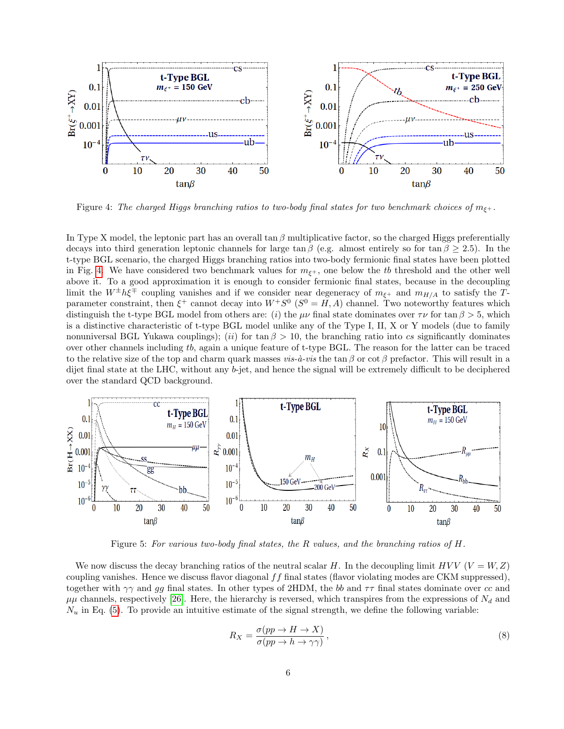

<span id="page-5-0"></span>Figure 4: The charged Higgs branching ratios to two-body final states for two benchmark choices of  $m_{\xi^+}$ .

In Type X model, the leptonic part has an overall tan  $\beta$  multiplicative factor, so the charged Higgs preferentially decays into third generation leptonic channels for large tan  $\beta$  (e.g. almost entirely so for tan  $\beta \geq 2.5$ ). In the t-type BGL scenario, the charged Higgs branching ratios into two-body fermionic final states have been plotted in Fig. [4.](#page-5-0) We have considered two benchmark values for  $m_{\xi^+}$ , one below the tb threshold and the other well above it. To a good approximation it is enough to consider fermionic final states, because in the decoupling limit the  $W^{\pm}h\xi^{\mp}$  coupling vanishes and if we consider near degeneracy of  $m_{\xi^+}$  and  $m_{H/A}$  to satisfy the Tparameter constraint, then  $\xi^+$  cannot decay into  $W^+S^0$   $(S^0 = H, A)$  channel. Two noteworthy features which distinguish the t-type BGL model from others are: (i) the  $\mu\nu$  final state dominates over  $\tau\nu$  for  $\tan \beta > 5$ , which is a distinctive characteristic of t-type BGL model unlike any of the Type I, II, X or Y models (due to family nonuniversal BGL Yukawa couplings); (ii) for tan  $\beta > 10$ , the branching ratio into cs significantly dominates over other channels including tb, again a unique feature of t-type BGL. The reason for the latter can be traced to the relative size of the top and charm quark masses vis- $\dot{a}$ -vis the tan β or cot β prefactor. This will result in a dijet final state at the LHC, without any b-jet, and hence the signal will be extremely difficult to be deciphered over the standard QCD background.



<span id="page-5-1"></span>Figure 5: For various two-body final states, the R values, and the branching ratios of H.

We now discuss the decay branching ratios of the neutral scalar H. In the decoupling limit  $HVV$  ( $V = W, Z$ ) coupling vanishes. Hence we discuss flavor diagonal  $ff$  final states (flavor violating modes are CKM suppressed), together with  $\gamma\gamma$  and gg final states. In other types of 2HDM, the bb and  $\tau\tau$  final states dominate over cc and  $\mu\mu$  channels, respectively [\[26\]](#page-12-15). Here, the hierarchy is reversed, which transpires from the expressions of  $N_d$  and  $N_u$  in Eq. [\(5\)](#page-2-0). To provide an intuitive estimate of the signal strength, we define the following variable:

$$
R_X = \frac{\sigma(pp \to H \to X)}{\sigma(pp \to h \to \gamma \gamma)},\tag{8}
$$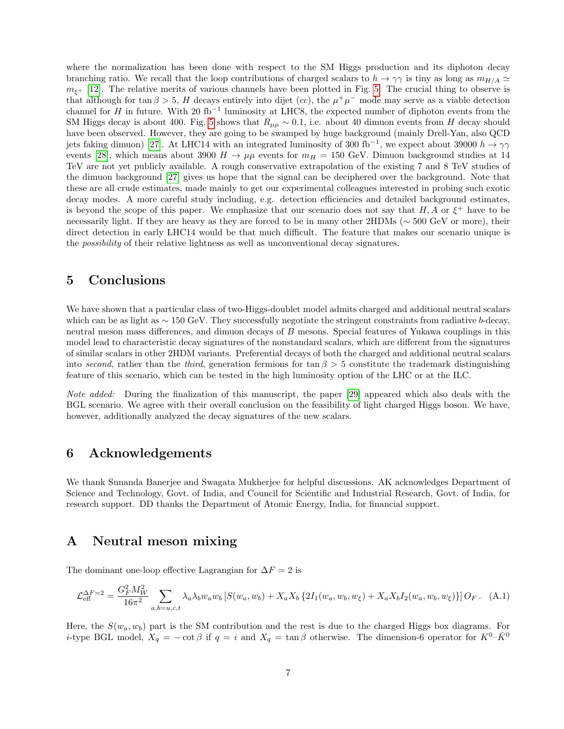where the normalization has been done with respect to the SM Higgs production and its diphoton decay branching ratio. We recall that the loop contributions of charged scalars to  $h \to \gamma\gamma$  is tiny as long as  $m_{H/A} \simeq$  $m_{\xi+}$  [\[12\]](#page-12-2). The relative merits of various channels have been plotted in Fig. [5.](#page-5-1) The crucial thing to observe is that although for tan  $\beta > 5$ , H decays entirely into dijet (cc), the  $\mu^+\mu^-$  mode may serve as a viable detection channel for H in future. With 20 fb<sup>-1</sup> luminosity at LHC8, the expected number of diphoton events from the SM Higgs decay is about 400. Fig. [5](#page-5-1) shows that  $R_{\mu\mu} \sim 0.1$ , i.e. about 40 dimuon events from H decay should have been observed. However, they are going to be swamped by huge background (mainly Drell-Yan, also QCD jets faking dimuon) [\[27\]](#page-12-16). At LHC14 with an integrated luminosity of 300 fb<sup>-1</sup>, we expect about 39000  $h \to \gamma\gamma$ events [\[28\]](#page-12-17), which means about 3900  $H \to \mu\mu$  events for  $m_H = 150$  GeV. Dimuon background studies at 14 TeV are not yet publicly available. A rough conservative extrapolation of the existing 7 and 8 TeV studies of the dimuon background [\[27\]](#page-12-16) gives us hope that the signal can be deciphered over the background. Note that these are all crude estimates, made mainly to get our experimental colleagues interested in probing such exotic decay modes. A more careful study including, e.g. detection efficiencies and detailed background estimates, is beyond the scope of this paper. We emphasize that our scenario does not say that  $H, A$  or  $\xi^+$  have to be necessarily light. If they are heavy as they are forced to be in many other 2HDMs (∼ 500 GeV or more), their direct detection in early LHC14 would be that much difficult. The feature that makes our scenario unique is the possibility of their relative lightness as well as unconventional decay signatures.

### 5 Conclusions

We have shown that a particular class of two-Higgs-doublet model admits charged and additional neutral scalars which can be as light as  $\sim 150$  GeV. They successfully negotiate the stringent constraints from radiative b-decay. neutral meson mass differences, and dimuon decays of B mesons. Special features of Yukawa couplings in this model lead to characteristic decay signatures of the nonstandard scalars, which are different from the signatures of similar scalars in other 2HDM variants. Preferential decays of both the charged and additional neutral scalars into second, rather than the third, generation fermions for tan  $\beta > 5$  constitute the trademark distinguishing feature of this scenario, which can be tested in the high luminosity option of the LHC or at the ILC.

Note added: During the finalization of this manuscript, the paper [\[29\]](#page-12-18) appeared which also deals with the BGL scenario. We agree with their overall conclusion on the feasibility of light charged Higgs boson. We have, however, additionally analyzed the decay signatures of the new scalars.

## 6 Acknowledgements

We thank Sunanda Banerjee and Swagata Mukherjee for helpful discussions. AK acknowledges Department of Science and Technology, Govt. of India, and Council for Scientific and Industrial Research, Govt. of India, for research support. DD thanks the Department of Atomic Energy, India, for financial support.

## A Neutral meson mixing

The dominant one-loop effective Lagrangian for  $\Delta F = 2$  is

$$
\mathcal{L}_{\text{eff}}^{\Delta F=2} = \frac{G_F^2 M_W^2}{16\pi^2} \sum_{a,b=u,c,t} \lambda_a \lambda_b w_a w_b \left[ S(w_a, w_b) + X_a X_b \left\{ 2I_1(w_a, w_b, w_\xi) + X_a X_b I_2(w_a, w_b, w_\xi) \right\} \right] O_F. \tag{A.1}
$$

Here, the  $S(w_a, w_b)$  part is the SM contribution and the rest is due to the charged Higgs box diagrams. For *i*-type BGL model,  $X_q = -\cot \beta$  if  $q = i$  and  $X_q = \tan \beta$  otherwise. The dimension-6 operator for  $K^0-\bar{K}^0$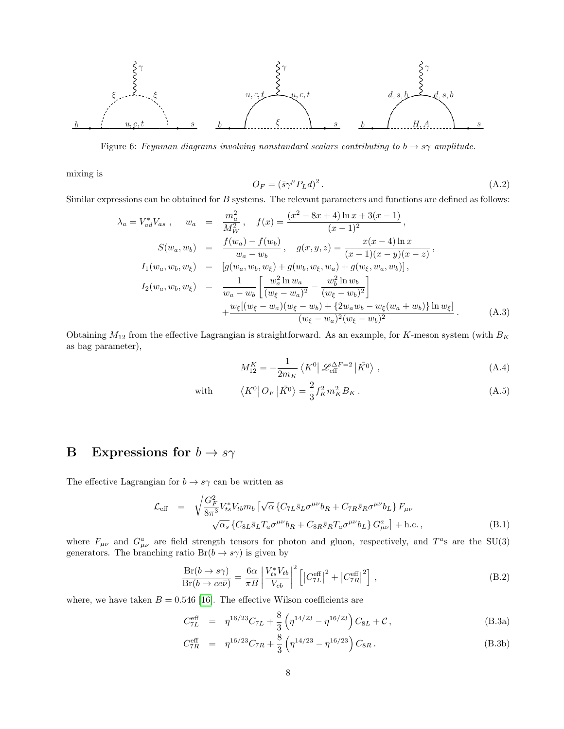

<span id="page-7-1"></span>Figure 6: Feynman diagrams involving nonstandard scalars contributing to  $b \rightarrow s\gamma$  amplitude.

mixing is

$$
O_F = (\bar{s}\gamma^\mu P_L d)^2. \tag{A.2}
$$

Similar expressions can be obtained for B systems. The relevant parameters and functions are defined as follows:

$$
\lambda_a = V_{ad}^* V_{as} , \quad w_a = \frac{m_a^2}{M_W^2} , \quad f(x) = \frac{(x^2 - 8x + 4) \ln x + 3(x - 1)}{(x - 1)^2} ,
$$
  

$$
S(w_a, w_b) = \frac{f(w_a) - f(w_b)}{w_a - w_b} , \quad g(x, y, z) = \frac{x(x - 4) \ln x}{(x - 1)(x - y)(x - z)} ,
$$
  

$$
I_1(w_a, w_b, w_{\xi}) = [g(w_a, w_b, w_{\xi}) + g(w_b, w_{\xi}, w_a) + g(w_{\xi}, w_a, w_b)],
$$
  

$$
I_2(w_a, w_b, w_{\xi}) = \frac{1}{w_a - w_b} \left[ \frac{w_a^2 \ln w_a}{(w_{\xi} - w_a)^2} - \frac{w_b^2 \ln w_b}{(w_{\xi} - w_b)^2} \right]
$$
  

$$
+ \frac{w_{\xi}[(w_{\xi} - w_a)(w_{\xi} - w_b) + \{2w_a w_b - w_{\xi}(w_a + w_b)\} \ln w_{\xi}]}{(w_{\xi} - w_a)^2 (w_{\xi} - w_b)^2} .
$$
 (A.3)

Obtaining  $M_{12}$  from the effective Lagrangian is straightforward. As an example, for K-meson system (with  $B_K$ as bag parameter),

$$
M_{12}^{K} = -\frac{1}{2m_K} \left\langle K^0 \right| \mathcal{L}_{\text{eff}}^{\Delta F=2} \left| \bar{K^0} \right\rangle, \tag{A.4}
$$

with 
$$
\langle K^0 | O_F | \bar{K^0} \rangle = \frac{2}{3} f_K^2 m_K^2 B_K . \qquad (A.5)
$$

# **B** Expressions for  $b \rightarrow s\gamma$

The effective Lagrangian for  $b \to s\gamma$  can be written as

$$
\mathcal{L}_{\text{eff}} = \sqrt{\frac{G_F^2}{8\pi^3}} V_{ts}^* V_{tb} m_b \left[ \sqrt{\alpha} \left\{ C_{7L} \bar{s}_L \sigma^{\mu\nu} b_R + C_{7R} \bar{s}_R \sigma^{\mu\nu} b_L \right\} F_{\mu\nu} \right. \\ \left. \sqrt{\alpha_s} \left\{ C_{8L} \bar{s}_L T_a \sigma^{\mu\nu} b_R + C_{8R} \bar{s}_R T_a \sigma^{\mu\nu} b_L \right\} G_{\mu\nu}^a \right\} + \text{h.c.} \,, \tag{B.1}
$$

where  $F_{\mu\nu}$  and  $G_{\mu\nu}^a$  are field strength tensors for photon and gluon, respectively, and  $T^a$ s are the SU(3) generators. The branching ratio  $Br(b \to s\gamma)$  is given by

$$
\frac{\text{Br}(b \to s\gamma)}{\text{Br}(b \to c e \bar{\nu})} = \frac{6\alpha}{\pi B} \left| \frac{V_{ts}^* V_{tb}}{V_{cb}} \right|^2 \left[ \left| C_{7L}^{\text{eff}} \right|^2 + \left| C_{7R}^{\text{eff}} \right|^2 \right],\tag{B.2}
$$

where, we have taken  $B = 0.546$  [\[16\]](#page-12-6). The effective Wilson coefficients are

$$
C_{7L}^{\text{eff}} = \eta^{16/23} C_{7L} + \frac{8}{3} \left( \eta^{14/23} - \eta^{16/23} \right) C_{8L} + \mathcal{C}, \tag{B.3a}
$$

<span id="page-7-0"></span>
$$
C_{7R}^{\text{eff}} = \eta^{16/23} C_{7R} + \frac{8}{3} \left( \eta^{14/23} - \eta^{16/23} \right) C_{8R} . \tag{B.3b}
$$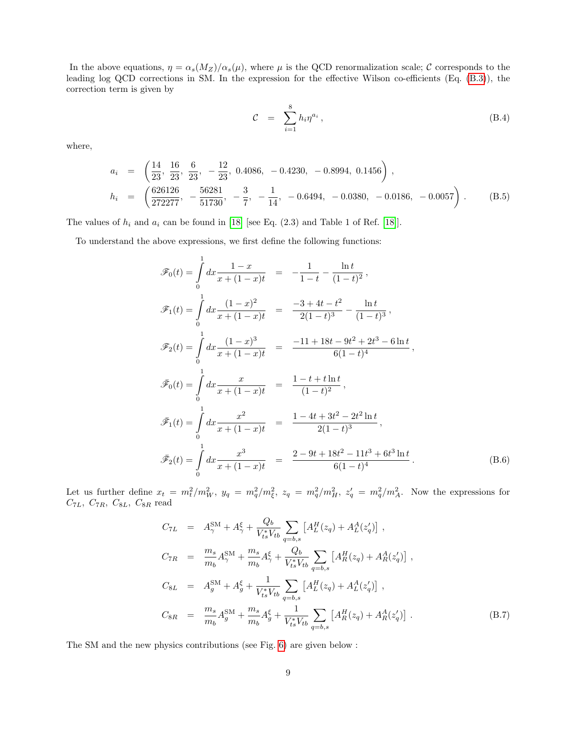In the above equations,  $\eta = \alpha_s(M_Z)/\alpha_s(\mu)$ , where  $\mu$  is the QCD renormalization scale; C corresponds to the leading log QCD corrections in SM. In the expression for the effective Wilson co-efficients (Eq. [\(B.3\)](#page-7-0)), the correction term is given by

$$
\mathcal{C} = \sum_{i=1}^{8} h_i \eta^{a_i}, \qquad (B.4)
$$

where,

$$
a_i = \left(\frac{14}{23}, \frac{16}{23}, \frac{6}{23}, -\frac{12}{23}, 0.4086, -0.4230, -0.8994, 0.1456\right),
$$
  
\n
$$
h_i = \left(\frac{626126}{272277}, -\frac{56281}{51730}, -\frac{3}{7}, -\frac{1}{14}, -0.6494, -0.0380, -0.0186, -0.0057\right).
$$
 (B.5)

The values of  $h_i$  and  $a_i$  can be found in [\[18\]](#page-12-8) [see Eq. (2.3) and Table 1 of Ref. [18]].

To understand the above expressions, we first define the following functions:

$$
\mathscr{F}_0(t) = \int_0^1 dx \frac{1-x}{x+(1-x)t} = -\frac{1}{1-t} - \frac{\ln t}{(1-t)^2},
$$
  
\n
$$
\mathscr{F}_1(t) = \int_0^1 dx \frac{(1-x)^2}{x+(1-x)t} = \frac{-3+4t-t^2}{2(1-t)^3} - \frac{\ln t}{(1-t)^3},
$$
  
\n
$$
\mathscr{F}_2(t) = \int_0^1 dx \frac{(1-x)^3}{x+(1-x)t} = \frac{-11+18t-9t^2+2t^3-6\ln t}{6(1-t)^4},
$$
  
\n
$$
\tilde{\mathscr{F}}_0(t) = \int_0^1 dx \frac{x}{x+(1-x)t} = \frac{1-t+t\ln t}{(1-t)^2},
$$
  
\n
$$
\tilde{\mathscr{F}}_1(t) = \int_0^1 dx \frac{x^2}{x+(1-x)t} = \frac{1-4t+3t^2-2t^2\ln t}{2(1-t)^3},
$$
  
\n
$$
\tilde{\mathscr{F}}_2(t) = \int_0^1 dx \frac{x^3}{x+(1-x)t} = \frac{2-9t+18t^2-11t^3+6t^3\ln t}{6(1-t)^4}.
$$
 (B.6)

Let us further define  $x_t = m_t^2/m_W^2$ ,  $y_q = m_q^2/m_\xi^2$ ,  $z_q = m_q^2/m_H^2$ ,  $z_q' = m_q^2/m_A^2$ . Now the expressions for  $C_{7L}, C_{7R}, C_{8L}, C_{8R}$  read

$$
C_{7L} = A_{\gamma}^{SM} + A_{\gamma}^{\xi} + \frac{Q_b}{V_{ts}^* V_{tb}} \sum_{q=b,s} \left[ A_L^H(z_q) + A_L^A(z'_q) \right],
$$
  
\n
$$
C_{7R} = \frac{m_s}{m_b} A_{\gamma}^{SM} + \frac{m_s}{m_b} A_{\gamma}^{\xi} + \frac{Q_b}{V_{ts}^* V_{tb}} \sum_{q=b,s} \left[ A_R^H(z_q) + A_R^A(z'_q) \right],
$$
  
\n
$$
C_{8L} = A_g^{SM} + A_g^{\xi} + \frac{1}{V_{ts}^* V_{tb}} \sum_{q=b,s} \left[ A_L^H(z_q) + A_L^A(z'_q) \right],
$$
  
\n
$$
C_{8R} = \frac{m_s}{m_b} A_g^{SM} + \frac{m_s}{m_b} A_g^{\xi} + \frac{1}{V_{ts}^* V_{tb}} \sum_{q=b,s} \left[ A_R^H(z_q) + A_R^A(z'_q) \right].
$$
\n(B.7)

The SM and the new physics contributions (see Fig. [6\)](#page-7-1) are given below :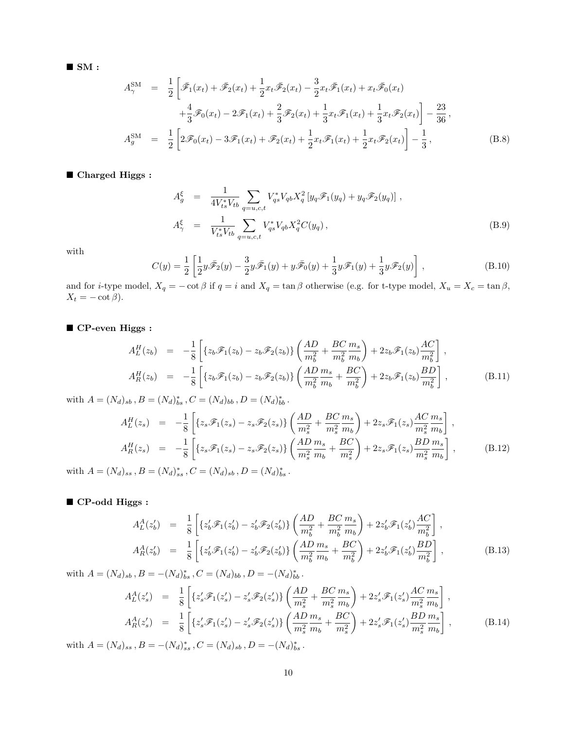$\blacksquare$  SM :

$$
A_{\gamma}^{\text{SM}} = \frac{1}{2} \left[ \bar{\mathcal{F}}_1(x_t) + \bar{\mathcal{F}}_2(x_t) + \frac{1}{2} x_t \bar{\mathcal{F}}_2(x_t) - \frac{3}{2} x_t \bar{\mathcal{F}}_1(x_t) + x_t \bar{\mathcal{F}}_0(x_t) \right. \left. + \frac{4}{3} \mathcal{F}_0(x_t) - 2 \mathcal{F}_1(x_t) + \frac{2}{3} \mathcal{F}_2(x_t) + \frac{1}{3} x_t \mathcal{F}_1(x_t) + \frac{1}{3} x_t \mathcal{F}_2(x_t) \right] - \frac{23}{36},
$$
  
\n
$$
A_g^{\text{SM}} = \frac{1}{2} \left[ 2 \mathcal{F}_0(x_t) - 3 \mathcal{F}_1(x_t) + \mathcal{F}_2(x_t) + \frac{1}{2} x_t \mathcal{F}_1(x_t) + \frac{1}{2} x_t \mathcal{F}_2(x_t) \right] - \frac{1}{3},
$$
\n(B.8)

■ Charged Higgs :

$$
A_g^{\xi} = \frac{1}{4V_{ts}^* V_{tb}} \sum_{q=u,c,t} V_{qs}^* V_{qb} X_q^2 \left[ y_q \mathcal{F}_1(y_q) + y_q \mathcal{F}_2(y_q) \right],
$$
  

$$
A_{\gamma}^{\xi} = \frac{1}{V_{ts}^* V_{tb}} \sum_{q=u,c,t} V_{qs}^* V_{qb} X_q^2 C(y_q),
$$
 (B.9)

with

$$
C(y) = \frac{1}{2} \left[ \frac{1}{2} y \bar{\mathscr{F}}_2(y) - \frac{3}{2} y \bar{\mathscr{F}}_1(y) + y \bar{\mathscr{F}}_0(y) + \frac{1}{3} y \bar{\mathscr{F}}_1(y) + \frac{1}{3} y \bar{\mathscr{F}}_2(y) \right],
$$
 (B.10)

and for *i*-type model,  $X_q = -\cot \beta$  if  $q = i$  and  $X_q = \tan \beta$  otherwise (e.g. for t-type model,  $X_u = X_c = \tan \beta$ ,  $X_t = -\cot\beta$ .

 $\blacksquare$  <br> CP-even Higgs :

$$
A_L^H(z_b) = -\frac{1}{8} \left[ \{ z_b \mathcal{F}_1(z_b) - z_b \mathcal{F}_2(z_b) \} \left( \frac{AD}{m_b^2} + \frac{BC}{m_b^2} \frac{m_s}{m_b} \right) + 2z_b \mathcal{F}_1(z_b) \frac{AC}{m_b^2} \right],
$$
  
\n
$$
A_R^H(z_b) = -\frac{1}{8} \left[ \{ z_b \mathcal{F}_1(z_b) - z_b \mathcal{F}_2(z_b) \} \left( \frac{AD}{m_b^2} \frac{m_s}{m_b} + \frac{BC}{m_b^2} \right) + 2z_b \mathcal{F}_1(z_b) \frac{BD}{m_b^2} \right],
$$
\n(B.11)

with  $A = (N_d)_{sb}$ ,  $B = (N_d)_{bs}^*$ ,  $C = (N_d)_{bb}$ ,  $D = (N_d)_{bb}^*$ .

$$
A_L^H(z_s) = -\frac{1}{8} \left[ \{ z_s \mathcal{F}_1(z_s) - z_s \mathcal{F}_2(z_s) \} \left( \frac{AD}{m_s^2} + \frac{BC}{m_s^2} \frac{m_s}{m_b} \right) + 2z_s \mathcal{F}_1(z_s) \frac{AC}{m_s^2} \frac{m_s}{m_b} \right],
$$
  
\n
$$
A_R^H(z_s) = -\frac{1}{8} \left[ \{ z_s \mathcal{F}_1(z_s) - z_s \mathcal{F}_2(z_s) \} \left( \frac{AD}{m_s^2} \frac{m_s}{m_b} + \frac{BC}{m_s^2} \right) + 2z_s \mathcal{F}_1(z_s) \frac{BD}{m_s^2} \frac{m_s}{m_b} \right],
$$
\n(B.12)

with  $A = (N_d)_{ss}$ ,  $B = (N_d)_{ss}^*$ ,  $C = (N_d)_{sb}$ ,  $D = (N_d)_{bs}^*$ .

#### ■ CP-odd Higgs :

$$
A_L^A(z_b') = \frac{1}{8} \left[ \{ z_b' \mathcal{F}_1(z_b') - z_b' \mathcal{F}_2(z_b') \} \left( \frac{AD}{m_b^2} + \frac{BC}{m_b^2} \frac{m_s}{m_b} \right) + 2z_b' \mathcal{F}_1(z_b') \frac{AC}{m_b^2} \right],
$$
  

$$
A_R^A(z_b') = \frac{1}{8} \left[ \{ z_b' \mathcal{F}_1(z_b') - z_b' \mathcal{F}_2(z_b') \} \left( \frac{AD}{m_b^2} \frac{m_s}{m_b} + \frac{BC}{m_b^2} \right) + 2z_b' \mathcal{F}_1(z_b') \frac{BD}{m_b^2} \right],
$$
 (B.13)

with  $A = (N_d)_{sb}$ ,  $B = -(N_d)_{bs}^*$ ,  $C = (N_d)_{bb}$ ,  $D = -(N_d)_{bb}^*$ .

$$
A_L^A(z'_s) = \frac{1}{8} \left[ \{ z'_s \mathcal{F}_1(z'_s) - z'_s \mathcal{F}_2(z'_s) \} \left( \frac{AD}{m_s^2} + \frac{BC}{m_s^2} \frac{m_s}{m_b} \right) + 2z'_s \mathcal{F}_1(z'_s) \frac{AC}{m_s^2} \frac{m_s}{m_b} \right],
$$
  
\n
$$
A_R^A(z'_s) = \frac{1}{8} \left[ \{ z'_s \mathcal{F}_1(z'_s) - z'_s \mathcal{F}_2(z'_s) \} \left( \frac{AD}{m_s^2} \frac{m_s}{m_b} + \frac{BC}{m_s^2} \right) + 2z'_s \mathcal{F}_1(z'_s) \frac{BD}{m_s^2} \frac{m_s}{m_b} \right],
$$
  
\n
$$
B = (N_s)^* \quad C = (N_s)^* \quad C = (N_s)^* \quad (N_s)^*
$$

with  $A = (N_d)_{ss}$ ,  $B = -(N_d)_{ss}^*$ ,  $C = (N_d)_{sb}$ ,  $D = -(N_d)_{bs}^*$ .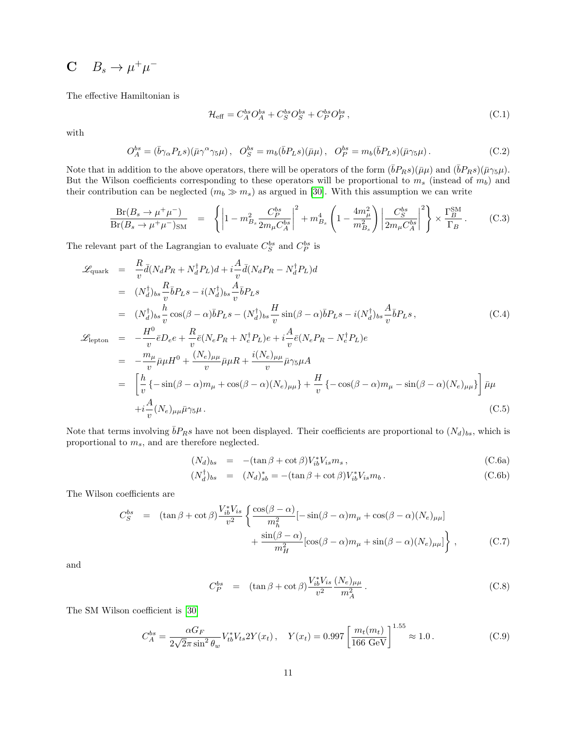# $C$   $B_s \to \mu^+\mu^-$

The effective Hamiltonian is

$$
\mathcal{H}_{\text{eff}} = C_A^{bs} O_A^{bs} + C_S^{bs} O_S^{bs} + C_P^{bs} O_P^{bs} ,\tag{C.1}
$$

with

$$
O_A^{bs} = (\bar{b}\gamma_\alpha P_L s)(\bar{\mu}\gamma^\alpha \gamma_5 \mu), \quad O_S^{bs} = m_b(\bar{b}P_L s)(\bar{\mu}\mu), \quad O_P^{bs} = m_b(\bar{b}P_L s)(\bar{\mu}\gamma_5 \mu). \tag{C.2}
$$

Note that in addition to the above operators, there will be operators of the form  $(\bar{b}P_Rs)(\bar{\mu}\mu)$  and  $(\bar{b}P_Rs)(\bar{\mu}\gamma_5\mu)$ . But the Wilson coefficients corresponding to these operators will be proportional to  $m_s$  (instead of  $m_b$ ) and their contribution can be neglected  $(m_b \gg m_s)$  as argued in [\[30\]](#page-12-19). With this assumption we can write

$$
\frac{\text{Br}(B_s \to \mu^+ \mu^-)}{\text{Br}(B_s \to \mu^+ \mu^-)_{\text{SM}}} = \left\{ \left| 1 - m_{B_s}^2 \frac{C_P^{bs}}{2m_\mu C_A^{bs}} \right|^2 + m_{B_s}^4 \left( 1 - \frac{4m_\mu^2}{m_{B_s}^2} \right) \left| \frac{C_S^{bs}}{2m_\mu C_A^{bs}} \right|^2 \right\} \times \frac{\Gamma_B^{\text{SM}}}{\Gamma_B} \,. \tag{C.3}
$$

The relevant part of the Lagrangian to evaluate  $C_S^{bs}$  and  $C_P^{bs}$  is

$$
\mathcal{L}_{\text{quark}} = \frac{R}{v} \bar{d}(N_d P_R + N_d^{\dagger} P_L) d + i \frac{A}{v} \bar{d}(N_d P_R - N_d^{\dagger} P_L) d \n= (N_d^{\dagger})_{bs} \frac{R}{v} \bar{b} P_L s - i(N_d^{\dagger})_{bs} \frac{A}{v} \bar{b} P_L s \n= (N_d^{\dagger})_{bs} \frac{h}{v} \cos(\beta - \alpha) \bar{b} P_L s - (N_d^{\dagger})_{bs} \frac{H}{v} \sin(\beta - \alpha) \bar{b} P_L s - i(N_d^{\dagger})_{bs} \frac{A}{v} \bar{b} P_L s, \qquad (C.4)
$$
\n
$$
\mathcal{L}_{\text{lepton}} = -\frac{H^0}{v} \bar{e} D_e e + \frac{R}{v} \bar{e}(N_e P_R + N_e^{\dagger} P_L) e + i \frac{A}{v} \bar{e}(N_e P_R - N_e^{\dagger} P_L) e \n= -\frac{m_\mu}{v} \bar{\mu} \mu H^0 + \frac{(N_e)_{\mu\mu}}{v} \bar{\mu} \mu R + \frac{i(N_e)_{\mu\mu}}{v} \bar{\mu} \gamma_5 \mu A \n= \left[ \frac{h}{v} \{-\sin(\beta - \alpha) m_\mu + \cos(\beta - \alpha)(N_e)_{\mu\mu} \} + \frac{H}{v} \{-\cos(\beta - \alpha) m_\mu - \sin(\beta - \alpha)(N_e)_{\mu\mu} \} \right] \bar{\mu} \mu \n+ i \frac{A}{v} (N_e)_{\mu\mu} \bar{\mu} \gamma_5 \mu.
$$
\n(C.5)

Note that terms involving  $\bar{b}P_Rs$  have not been displayed. Their coefficients are proportional to  $(N_d)_{bs}$ , which is proportional to  $m_s,$  and are therefore neglected.

$$
(N_d)_{bs} = -(\tan \beta + \cot \beta)V_{ib}^* V_{is} m_s , \qquad (C.6a)
$$

$$
(N_d^{\dagger})_{bs} = (N_d)_{sb}^* = -(\tan\beta + \cot\beta)V_{ib}^*V_{is}m_b.
$$
 (C.6b)

The Wilson coefficients are

$$
C_S^{bs} = (\tan \beta + \cot \beta) \frac{V_{ib}^* V_{is}}{v^2} \left\{ \frac{\cos(\beta - \alpha)}{m_h^2} [-\sin(\beta - \alpha)m_\mu + \cos(\beta - \alpha)(N_e)_{\mu\mu}] + \frac{\sin(\beta - \alpha)}{m_H^2} [\cos(\beta - \alpha)m_\mu + \sin(\beta - \alpha)(N_e)_{\mu\mu}] \right\},
$$
(C.7)

and

$$
C_P^{bs} = (\tan \beta + \cot \beta) \frac{V_{ib}^* V_{is}}{v^2} \frac{(N_e)_{\mu\mu}}{m_A^2}.
$$
 (C.8)

The SM Wilson coefficient is [\[30\]](#page-12-19)

$$
C_A^{bs} = \frac{\alpha G_F}{2\sqrt{2}\pi \sin^2 \theta_w} V_{tb}^* V_{ts} 2Y(x_t), \quad Y(x_t) = 0.997 \left[ \frac{m_t(m_t)}{166 \text{ GeV}} \right]^{1.55} \approx 1.0 \,. \tag{C.9}
$$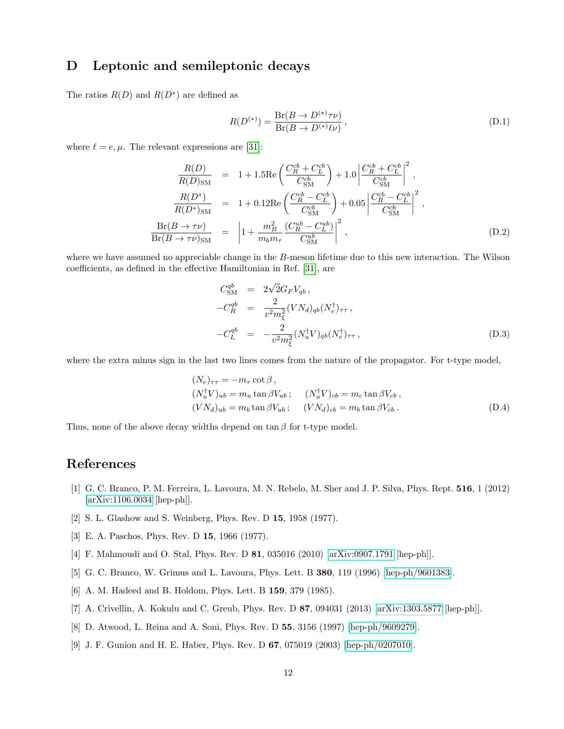## D Leptonic and semileptonic decays

The ratios  $R(D)$  and  $R(D^*)$  are defined as

$$
R(D^{(*)}) = \frac{\text{Br}(B \to D^{(*)}\tau\nu)}{\text{Br}(B \to D^{(*)}\ell\nu)},
$$
\n(D.1)

where  $\ell = e, \mu$ . The relevant expressions are [\[31\]](#page-12-20):

$$
\frac{R(D)}{R(D)_{\text{SM}}} = 1 + 1.5 \text{Re} \left( \frac{C_R^{cb} + C_L^{cb}}{C_{\text{SM}}^{cb}} \right) + 1.0 \left| \frac{C_R^{cb} + C_L^{cb}}{C_{\text{SM}}^{cb}} \right|^2,
$$
\n
$$
\frac{R(D^*)}{R(D^*)_{\text{SM}}} = 1 + 0.12 \text{Re} \left( \frac{C_R^{cb} - C_L^{cb}}{C_{\text{SM}}^{cb}} \right) + 0.05 \left| \frac{C_R^{cb} - C_L^{cb}}{C_{\text{SM}}^{cb}} \right|^2,
$$
\n
$$
\frac{\text{Br}(B \to \tau \nu)}{\text{Br}(B \to \tau \nu)_{\text{SM}}} = \left| 1 + \frac{m_B^2}{m_b m_\tau} \frac{(C_{R}^{ub} - C_{L}^{ub})}{C_{\text{SM}}^{ub}} \right|^2,
$$
\n(D.2)

where we have assumed no appreciable change in the B-meson lifetime due to this new interaction. The Wilson coefficients, as defined in the effective Hamiltonian in Ref. [\[31\]](#page-12-20), are

$$
C_{\rm SM}^{qb} = 2\sqrt{2}G_F V_{qb}, -C_R^{qb} = \frac{2}{v^2 m_{\xi}^2} (V N_d)_{qb} (N_e^{\dagger})_{\tau\tau}, -C_L^{qb} = -\frac{2}{v^2 m_{\xi}^2} (N_u^{\dagger} V)_{qb} (N_e^{\dagger})_{\tau\tau},
$$
(D.3)

where the extra minus sign in the last two lines comes from the nature of the propagator. For t-type model,

$$
(N_e)_{\tau\tau} = -m_{\tau} \cot \beta,
$$
  
\n
$$
(N_u^{\dagger} V)_{ub} = m_u \tan \beta V_{ub}; \quad (N_u^{\dagger} V)_{cb} = m_c \tan \beta V_{cb},
$$
  
\n
$$
(VN_d)_{ub} = m_b \tan \beta V_{ub}; \quad (VN_d)_{cb} = m_b \tan \beta V_{cb}.
$$
\n(D.4)

Thus, none of the above decay widths depend on  $\tan \beta$  for t-type model.

# References

- <span id="page-11-0"></span>[1] G. C. Branco, P. M. Ferreira, L. Lavoura, M. N. Rebelo, M. Sher and J. P. Silva, Phys. Rept. 516, 1 (2012) [\[arXiv:1106.0034](http://arxiv.org/abs/1106.0034) [hep-ph]].
- <span id="page-11-1"></span>[2] S. L. Glashow and S. Weinberg, Phys. Rev. D 15, 1958 (1977).
- <span id="page-11-2"></span>[3] E. A. Paschos, Phys. Rev. D 15, 1966 (1977).
- <span id="page-11-3"></span>[4] F. Mahmoudi and O. Stal, Phys. Rev. D 81, 035016 (2010) [\[arXiv:0907.1791](http://arxiv.org/abs/0907.1791) [hep-ph]].
- <span id="page-11-4"></span>[5] G. C. Branco, W. Grimus and L. Lavoura, Phys. Lett. B 380, 119 (1996) [\[hep-ph/9601383\]](http://arxiv.org/abs/hep-ph/9601383).
- <span id="page-11-7"></span>[6] A. M. Hadeed and B. Holdom, Phys. Lett. B 159, 379 (1985).
- <span id="page-11-5"></span>[7] A. Crivellin, A. Kokulu and C. Greub, Phys. Rev. D 87, 094031 (2013) [\[arXiv:1303.5877](http://arxiv.org/abs/1303.5877) [hep-ph]].
- <span id="page-11-6"></span>[8] D. Atwood, L. Reina and A. Soni, Phys. Rev. D 55, 3156 (1997) [\[hep-ph/9609279\]](http://arxiv.org/abs/hep-ph/9609279).
- <span id="page-11-8"></span>[9] J. F. Gunion and H. E. Haber, Phys. Rev. D 67, 075019 (2003) [\[hep-ph/0207010\]](http://arxiv.org/abs/hep-ph/0207010).